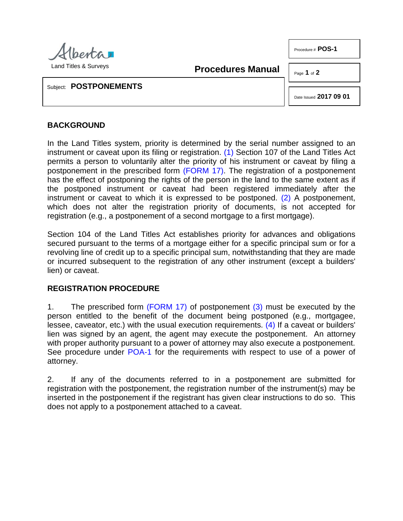

Procedure # **POS-1**

<span id="page-0-0"></span>**Procedures Manual**

Page **1** of **2**

Subject: **POSTPONEMENTS**

<span id="page-0-1"></span>Date Issued **2017 09 01**

## **BACKGROUND**

In the Land Titles system, priority is determined by the serial number assigned to an instrument or caveat upon its filing or registration. [\(1\)](#page-1-0) Section 107 of the Land Titles Act permits a person to voluntarily alter the priority of his instrument or caveat by filing a postponement in the prescribed form [\(FORM 17\).](http://www.servicealberta.ca/pdf/ltmanual/FORM17.PDF) The registration of a postponement has the effect of postponing the rights of the person in the land to the same extent as if the postponed instrument or caveat had been registered immediately after the instrument or caveat to which it is expressed to be postponed. [\(2\)](#page-1-1) A postponement, which does not alter the registration priority of documents, is not accepted for registration (e.g., a postponement of a second mortgage to a first mortgage).

Section 104 of the Land Titles Act establishes priority for advances and obligations secured pursuant to the terms of a mortgage either for a specific principal sum or for a revolving line of credit up to a specific principal sum, notwithstanding that they are made or incurred subsequent to the registration of any other instrument (except a builders' lien) or caveat.

## **REGISTRATION PROCEDURE**

<span id="page-0-3"></span><span id="page-0-2"></span>1. The prescribed form [\(FORM 17\)](http://www.servicealberta.ca/pdf/ltmanual/FORM17.PDF) of postponement [\(3\)](#page-1-2) must be executed by the person entitled to the benefit of the document being postponed (e.g., mortgagee, lessee, caveator, etc.) with the usual execution requirements. [\(4\)](#page-1-3) If a caveat or builders' lien was signed by an agent, the agent may execute the postponement. An attorney with proper authority pursuant to a power of attorney may also execute a postponement. See procedure under [POA-1](http://www.servicealberta.ca/pdf/ltmanual/POA-1.pdf) for the requirements with respect to use of a power of attorney.

2. If any of the documents referred to in a postponement are submitted for registration with the postponement, the registration number of the instrument(s) may be inserted in the postponement if the registrant has given clear instructions to do so. This does not apply to a postponement attached to a caveat.